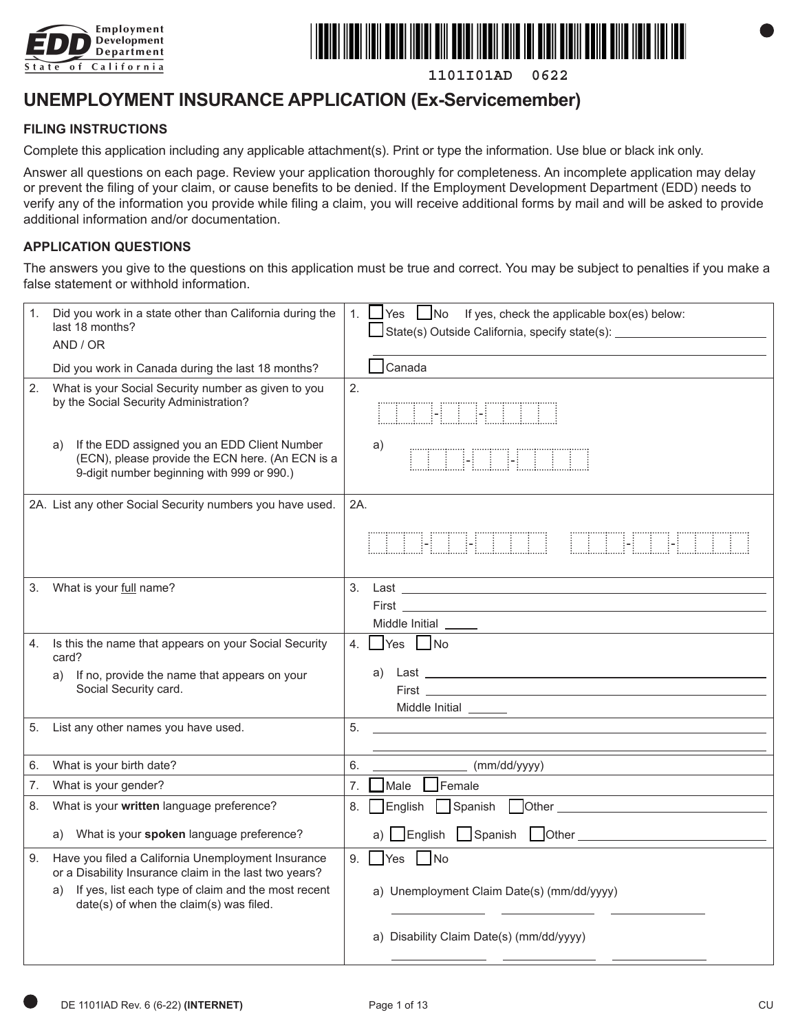



**1101I01AD 0622**

# **UNEMPLOYMENT INSURANCE APPLICATION (Ex-Servicemember)**

#### **FILING INSTRUCTIONS**

Complete this application including any applicable attachment(s). Print or type the information. Use blue or black ink only.

Answer all questions on each page. Review your application thoroughly for completeness. An incomplete application may delay or prevent the filing of your claim, or cause benefits to be denied. If the Employment Development Department (EDD) needs to verify any of the information you provide while filing a claim, you will receive additional forms by mail and will be asked to provide additional information and/or documentation.

#### **APPLICATION QUESTIONS**

The answers you give to the questions on this application must be true and correct. You may be subject to penalties if you make a false statement or withhold information.

| 1. | Did you work in a state other than California during the<br>last 18 months?<br>AND / OR                                                              | 1. Yes No If yes, check the applicable box(es) below:<br>State(s) Outside California, specify state(s): _________________________________                                                                                                                        |
|----|------------------------------------------------------------------------------------------------------------------------------------------------------|------------------------------------------------------------------------------------------------------------------------------------------------------------------------------------------------------------------------------------------------------------------|
|    | Did you work in Canada during the last 18 months?                                                                                                    | $\Box$ Canada                                                                                                                                                                                                                                                    |
| 2. | What is your Social Security number as given to you<br>by the Social Security Administration?                                                        | 2.<br><b>THE LETTER</b>                                                                                                                                                                                                                                          |
|    | If the EDD assigned you an EDD Client Number<br>a)<br>(ECN), please provide the ECN here. (An ECN is a<br>9-digit number beginning with 999 or 990.) | a)<br><b>FETHELLE SERVICE</b>                                                                                                                                                                                                                                    |
|    | 2A. List any other Social Security numbers you have used.                                                                                            | 2A.                                                                                                                                                                                                                                                              |
|    |                                                                                                                                                      | <u> I II A MATA MATA MATA MA</u>                                                                                                                                                                                                                                 |
| 3. | What is your full name?                                                                                                                              | 3.<br><b>First Executive Contract Contract Contract Contract Contract Contract Contract Contract Contract Contract Contract Contract Contract Contract Contract Contract Contract Contract Contract Contract Contract Contract Contr</b><br>Middle Initial _____ |
| 4. | Is this the name that appears on your Social Security<br>card?                                                                                       | $\Box$ Yes $\Box$ No<br>4.                                                                                                                                                                                                                                       |
|    | If no, provide the name that appears on your<br>a)<br>Social Security card.                                                                          | a)                                                                                                                                                                                                                                                               |
| 5. | List any other names you have used.                                                                                                                  | 5.                                                                                                                                                                                                                                                               |
| 6. | What is your birth date?                                                                                                                             | 6.<br>(mm/dd/yyyy)                                                                                                                                                                                                                                               |
| 7. | What is your gender?                                                                                                                                 | <b>T</b> Female<br>Male<br>7.                                                                                                                                                                                                                                    |
| 8. | What is your written language preference?                                                                                                            | English Spanish Other<br>8.                                                                                                                                                                                                                                      |
|    | a) What is your spoken language preference?                                                                                                          |                                                                                                                                                                                                                                                                  |
| 9. | Have you filed a California Unemployment Insurance<br>or a Disability Insurance claim in the last two years?                                         | $\Box$ Yes $\Box$ No<br>9.                                                                                                                                                                                                                                       |
|    | If yes, list each type of claim and the most recent<br>a)<br>date(s) of when the claim(s) was filed.                                                 | a) Unemployment Claim Date(s) (mm/dd/yyyy)                                                                                                                                                                                                                       |
|    |                                                                                                                                                      | a) Disability Claim Date(s) (mm/dd/yyyy)                                                                                                                                                                                                                         |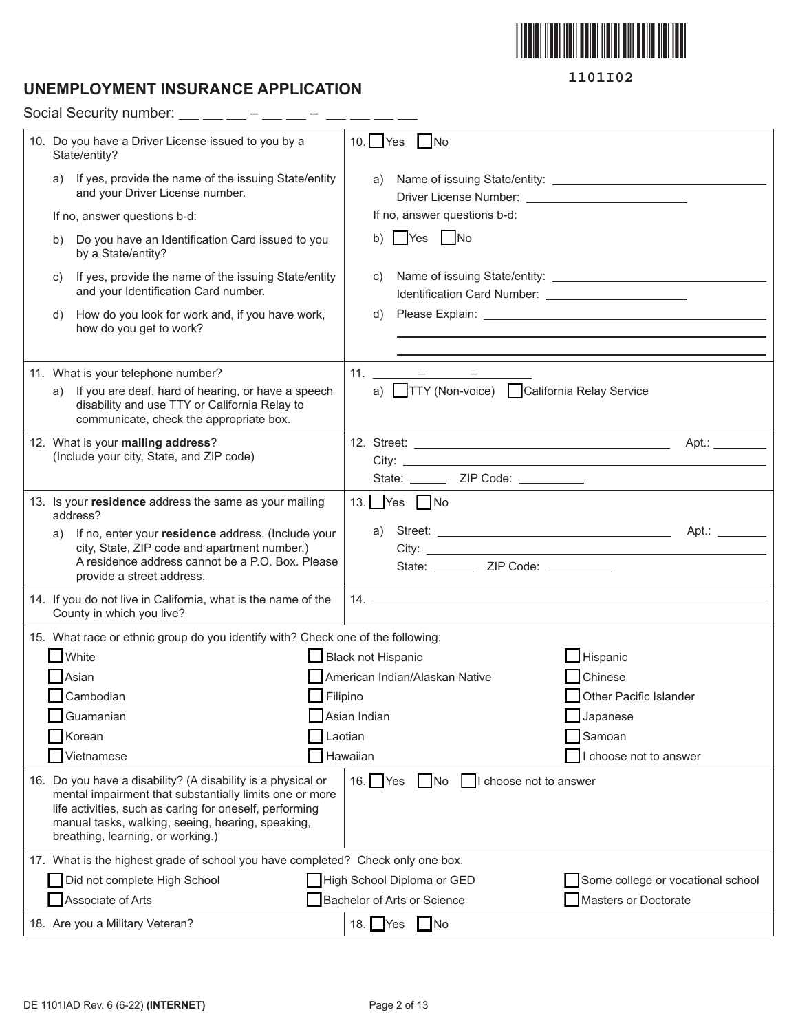

# **UNEMPLOYMENT INSURANCE APPLICATION**

Social Security number:  $\_\_$   $\_\_$  –  $\_\_$  –  $\_$  –  $\_$  –  $\_$  –  $\_$ 

| 10. Do you have a Driver License issued to you by a<br>State/entity?                                                                                                                                                                                                         | $10.$ Yes<br>$\blacksquare$ No                                  |
|------------------------------------------------------------------------------------------------------------------------------------------------------------------------------------------------------------------------------------------------------------------------------|-----------------------------------------------------------------|
| If yes, provide the name of the issuing State/entity<br>a)<br>and your Driver License number.                                                                                                                                                                                | a)                                                              |
| If no, answer questions b-d:                                                                                                                                                                                                                                                 | If no, answer questions b-d:                                    |
| Do you have an Identification Card issued to you<br>b)<br>by a State/entity?                                                                                                                                                                                                 | b) Yes No                                                       |
| If yes, provide the name of the issuing State/entity<br>C)<br>and your Identification Card number.                                                                                                                                                                           | C)<br>Identification Card Number: 2008 2010 2010 2012 2022 2023 |
| How do you look for work and, if you have work,<br>d)<br>how do you get to work?                                                                                                                                                                                             | d)                                                              |
| 11. What is your telephone number?                                                                                                                                                                                                                                           | 11. $  -$                                                       |
| If you are deaf, hard of hearing, or have a speech<br>a)                                                                                                                                                                                                                     | a) TTY (Non-voice) California Relay Service                     |
| disability and use TTY or California Relay to<br>communicate, check the appropriate box.                                                                                                                                                                                     |                                                                 |
| 12. What is your mailing address?                                                                                                                                                                                                                                            |                                                                 |
| (Include your city, State, and ZIP code)                                                                                                                                                                                                                                     |                                                                 |
|                                                                                                                                                                                                                                                                              | State: ________ ZIP Code: __________                            |
| 13. Is your residence address the same as your mailing<br>address?                                                                                                                                                                                                           | 13. Yes No                                                      |
| If no, enter your residence address. (Include your<br>a)                                                                                                                                                                                                                     | a)                                                              |
| city, State, ZIP code and apartment number.)<br>A residence address cannot be a P.O. Box. Please                                                                                                                                                                             |                                                                 |
| provide a street address.                                                                                                                                                                                                                                                    | State: _________ ZIP Code: __________                           |
| 14. If you do not live in California, what is the name of the<br>County in which you live?                                                                                                                                                                                   |                                                                 |
| 15. What race or ethnic group do you identify with? Check one of the following:                                                                                                                                                                                              |                                                                 |
| White                                                                                                                                                                                                                                                                        | $\blacksquare$ Hispanic<br>Black not Hispanic                   |
| Asian                                                                                                                                                                                                                                                                        | American Indian/Alaskan Native<br><b>T</b> Chinese              |
| Cambodian                                                                                                                                                                                                                                                                    | Filipino<br>Other Pacific Islander                              |
| Guamanian                                                                                                                                                                                                                                                                    | Asian Indian<br>Japanese                                        |
| Korean                                                                                                                                                                                                                                                                       | Laotian<br>Samoan                                               |
| Vietnamese                                                                                                                                                                                                                                                                   | Hawaiian<br>choose not to answer                                |
| 16. Do you have a disability? (A disability is a physical or<br>mental impairment that substantially limits one or more<br>life activities, such as caring for oneself, performing<br>manual tasks, walking, seeing, hearing, speaking,<br>breathing, learning, or working.) | 16. $Yes$<br>No<br>  I choose not to answer                     |
| 17. What is the highest grade of school you have completed? Check only one box.                                                                                                                                                                                              |                                                                 |
| Did not complete High School                                                                                                                                                                                                                                                 | High School Diploma or GED<br>Some college or vocational school |
| Associate of Arts                                                                                                                                                                                                                                                            | Bachelor of Arts or Science<br>Masters or Doctorate             |
| 18. Are you a Military Veteran?                                                                                                                                                                                                                                              | 18. $Yes$ No                                                    |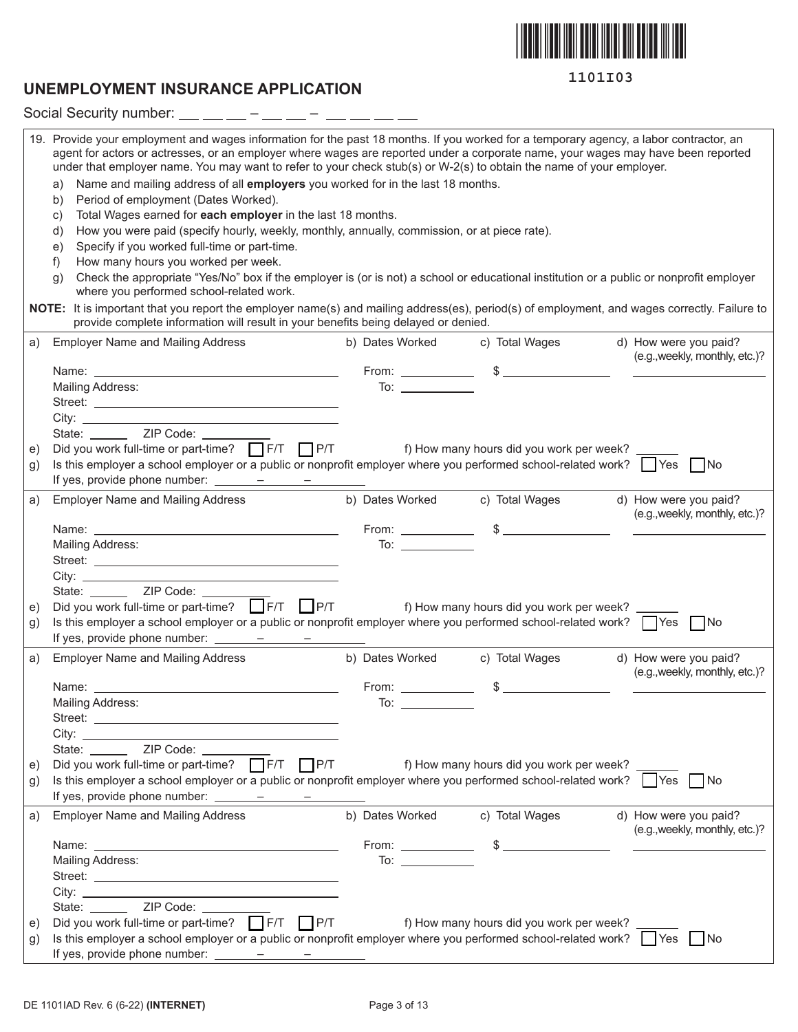

## **UNEMPLOYMENT INSURANCE APPLICATION**

Social Security number: – – 19. Provide your employment and wages information for the past 18 months. If you worked for a temporary agency, a labor contractor, an agent for actors or actresses, or an employer where wages are reported under a corporate name, your wages may have been reported under that employer name. You may want to refer to your check stub(s) or W-2(s) to obtain the name of your employer. a) Name and mailing address of all **employers** you worked for in the last 18 months. b) Period of employment (Dates Worked). c) Total Wages earned for **each employer** in the last 18 months. d) How you were paid (specify hourly, weekly, monthly, annually, commission, or at piece rate). e) Specify if you worked full-time or part-time. f) How many hours you worked per week. g) Check the appropriate "Yes/No" box if the employer is (or is not) a school or educational institution or a public or nonprofit employer where you performed school-related work. **NOTE:** It is important that you report the employer name(s) and mailing address(es), period(s) of employment, and wages correctly. Failure to provide complete information will result in your benefits being delayed or denied. a) Employer Name and Mailing Address b) Dates Worked c) Total Wages d) How were you paid? (e.g.,weekly, monthly, etc.)? Name: From: \$ Mailing Address: To: 1999 Mailing Address: To: 2008 Street:  $City:$ State: **ZIP Code:** e) Did you work full-time or part-time?  $\Box$  F/T  $\Box$  P/T f) How many hours did you work per week? g) Is this employer a school employer or a public or nonprofit employer where you performed school-related work?  $\Box$  Yes  $\Box$  No If yes, provide phone number:  $\frac{\qquad - \qquad - \qquad - \qquad}{\qquad}$ a) Employer Name and Mailing Address b) Dates Worked c) Total Wages d) How were you paid? (e.g.,weekly, monthly, etc.)? Name: From: \$ Mailing Address: To: Street: City: State:  $\frac{\text{ZIP Code:}}{\text{Did you work full-time or part-time?}}$ e) Did you work full-time or part-time?  $\Box$  F/T  $\Box$  P/T f) How many hours did you work per week? g) Is this employer a school employer or a public or nonprofit employer where you performed school-related work?  $\Box$  Yes  $\Box$  No If yes, provide phone number:  $\frac{\ }{\ }$  - – – – a) Employer Name and Mailing Address b) Dates Worked c) Total Wages d) How were you paid? (e.g.,weekly, monthly, etc.)? Name: From: \$ Mailing Address: To: Street: City: State: <u>ZIP</u> Code: \_\_\_\_ e) Did you work full-time or part-time? F/T P/T f) How many hours did you work per week? g) Is this employer a school employer or a public or nonprofit employer where you performed school-related work?  $\Box$  Yes  $\Box$  No If yes, provide phone number:  $\frac{\ }{\ }$ a) Employer Name and Mailing Address b) Dates Worked c) Total Wages d) How were you paid? (e.g.,weekly, monthly, etc.)? Name: From: \$ Mailing Address: To: 2008 and 2008 and 2008 and 2008 and 2008 and 2008 and 2008 and 2008 and 2008 and 2008 and 2008 and 2008 and 2008 and 2008 and 2008 and 2008 and 2008 and 2008 and 2008 and 2008 and 2008 and 2008 and 200 Street: \_\_\_\_\_\_\_\_\_ City: State: \_\_\_\_\_\_\_ ZIP Code: \_\_\_\_\_ e) Did you work full-time or part-time?  $\Box$  F/T  $\Box$  P/T f) How many hours did you work per week? g) Is this employer a school employer or a public or nonprofit employer where you performed school-related work?  $\Box$  Yes  $\Box$  No

If yes, provide phone number:  $\frac{\ }{\ }$   $\frac{\ }{\ }$   $\frac{\ }{\ }$   $\frac{\ }{\ }$   $\frac{\ }{\ }$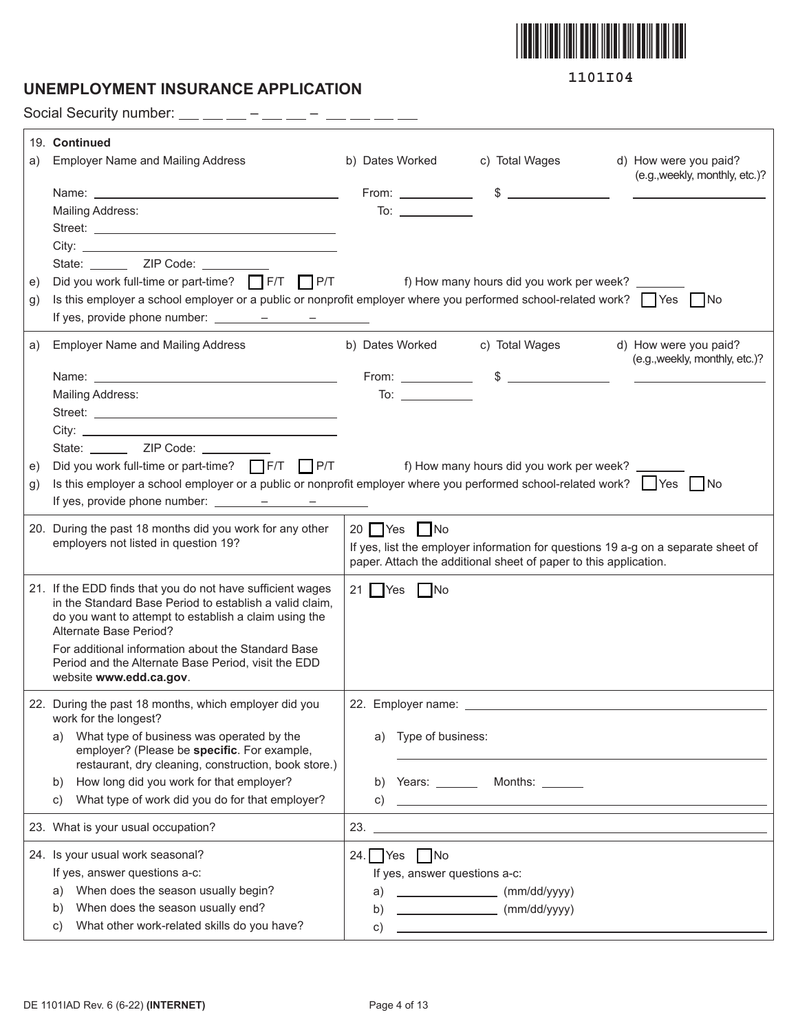

### **UNEMPLOYMENT INSURANCE APPLICATION**

**1101I04**

Social Security number:  $\_\_$   $\_\_$  –  $\_\_$  –  $\_$  –  $\_$  –  $\_$  –  $\_$ 

|    | 19. Continued                                                                                                                                                         |                                |                                                                                                                      |                                                         |
|----|-----------------------------------------------------------------------------------------------------------------------------------------------------------------------|--------------------------------|----------------------------------------------------------------------------------------------------------------------|---------------------------------------------------------|
| a) | <b>Employer Name and Mailing Address</b>                                                                                                                              | b) Dates Worked                | c) Total Wages                                                                                                       | d) How were you paid?                                   |
|    |                                                                                                                                                                       |                                | From: $\qquad \qquad$ \$ $\qquad \qquad$                                                                             | (e.g., weekly, monthly, etc.)?                          |
|    | Mailing Address:                                                                                                                                                      | To: $\_\_$                     |                                                                                                                      | <u>and the companion of the companion of</u>            |
|    |                                                                                                                                                                       |                                |                                                                                                                      |                                                         |
|    |                                                                                                                                                                       |                                |                                                                                                                      |                                                         |
|    | State: ________ ZIP Code: __________                                                                                                                                  |                                |                                                                                                                      |                                                         |
| e) | Did you work full-time or part-time? F/T P/T P/T f) How many hours did you work per week?                                                                             |                                |                                                                                                                      |                                                         |
| g) | Is this employer a school employer or a public or nonprofit employer where you performed school-related work? $\Box$ Yes $\Box$ No                                    |                                |                                                                                                                      |                                                         |
|    | If yes, provide phone number: $\frac{\qquad \qquad - \qquad \qquad - \qquad \qquad - \qquad \qquad }{\qquad \qquad - \qquad \qquad - \qquad \qquad - \qquad \qquad }$ |                                |                                                                                                                      |                                                         |
| a) | <b>Employer Name and Mailing Address</b>                                                                                                                              |                                | b) Dates Worked c) Total Wages                                                                                       | d) How were you paid?<br>(e.g., weekly, monthly, etc.)? |
|    |                                                                                                                                                                       |                                |                                                                                                                      |                                                         |
|    | Mailing Address:                                                                                                                                                      |                                |                                                                                                                      |                                                         |
|    |                                                                                                                                                                       |                                |                                                                                                                      |                                                         |
|    |                                                                                                                                                                       |                                |                                                                                                                      |                                                         |
|    | State: ________ ZIP Code: __________                                                                                                                                  |                                |                                                                                                                      |                                                         |
| e) | Did you work full-time or part-time? $\Box$ F/T $\Box$ P/T                                                                                                            |                                | f) How many hours did you work per week?                                                                             |                                                         |
| g) | Is this employer a school employer or a public or nonprofit employer where you performed school-related work? $\Box$ Yes $\Box$ No                                    |                                |                                                                                                                      |                                                         |
|    | If yes, provide phone number: $\frac{\ }{\ }$                                                                                                                         |                                |                                                                                                                      |                                                         |
|    | 20. During the past 18 months did you work for any other                                                                                                              | $20$ Yes $\Box$ No             |                                                                                                                      |                                                         |
|    | employers not listed in question 19?                                                                                                                                  |                                | If yes, list the employer information for questions 19 a-g on a separate sheet of                                    |                                                         |
|    |                                                                                                                                                                       |                                | paper. Attach the additional sheet of paper to this application.                                                     |                                                         |
|    | 21. If the EDD finds that you do not have sufficient wages                                                                                                            | 21 $\bigcap$ Yes $\bigcap$ No  |                                                                                                                      |                                                         |
|    | in the Standard Base Period to establish a valid claim,                                                                                                               |                                |                                                                                                                      |                                                         |
|    | do you want to attempt to establish a claim using the<br>Alternate Base Period?                                                                                       |                                |                                                                                                                      |                                                         |
|    | For additional information about the Standard Base                                                                                                                    |                                |                                                                                                                      |                                                         |
|    | Period and the Alternate Base Period, visit the EDD                                                                                                                   |                                |                                                                                                                      |                                                         |
|    | website www.edd.ca.gov.                                                                                                                                               |                                |                                                                                                                      |                                                         |
|    | 22. During the past 18 months, which employer did you<br>work for the longest?                                                                                        | 22. Employer name: ___________ |                                                                                                                      |                                                         |
|    | What type of business was operated by the<br>a)                                                                                                                       | a) Type of business:           |                                                                                                                      |                                                         |
|    | employer? (Please be specific. For example,<br>restaurant, dry cleaning, construction, book store.)                                                                   |                                |                                                                                                                      |                                                         |
|    | How long did you work for that employer?<br>b)                                                                                                                        |                                | b) Years: _________ Months: _______                                                                                  |                                                         |
|    | What type of work did you do for that employer?<br>C)                                                                                                                 |                                | $\mathsf{C}$ ) $\qquad \qquad$                                                                                       |                                                         |
|    |                                                                                                                                                                       |                                |                                                                                                                      |                                                         |
|    | 23. What is your usual occupation?                                                                                                                                    |                                |                                                                                                                      |                                                         |
|    | 24. Is your usual work seasonal?                                                                                                                                      | 24. $\Box$ Yes $\Box$ No       |                                                                                                                      |                                                         |
|    | If yes, answer questions a-c:                                                                                                                                         |                                | If yes, answer questions a-c:                                                                                        |                                                         |
|    | When does the season usually begin?<br>a)                                                                                                                             | a)                             | (mm/dd/yyyy)                                                                                                         |                                                         |
|    | When does the season usually end?<br>b)                                                                                                                               | b)                             | (mm/dd/yyyy)                                                                                                         |                                                         |
|    | What other work-related skills do you have?<br>C)                                                                                                                     | C)                             | <u> 1989 - Johann Barn, mars ann an t-Amhain Aonaich an t-Aonaich an t-Aonaich ann an t-Aonaich ann an t-Aonaich</u> |                                                         |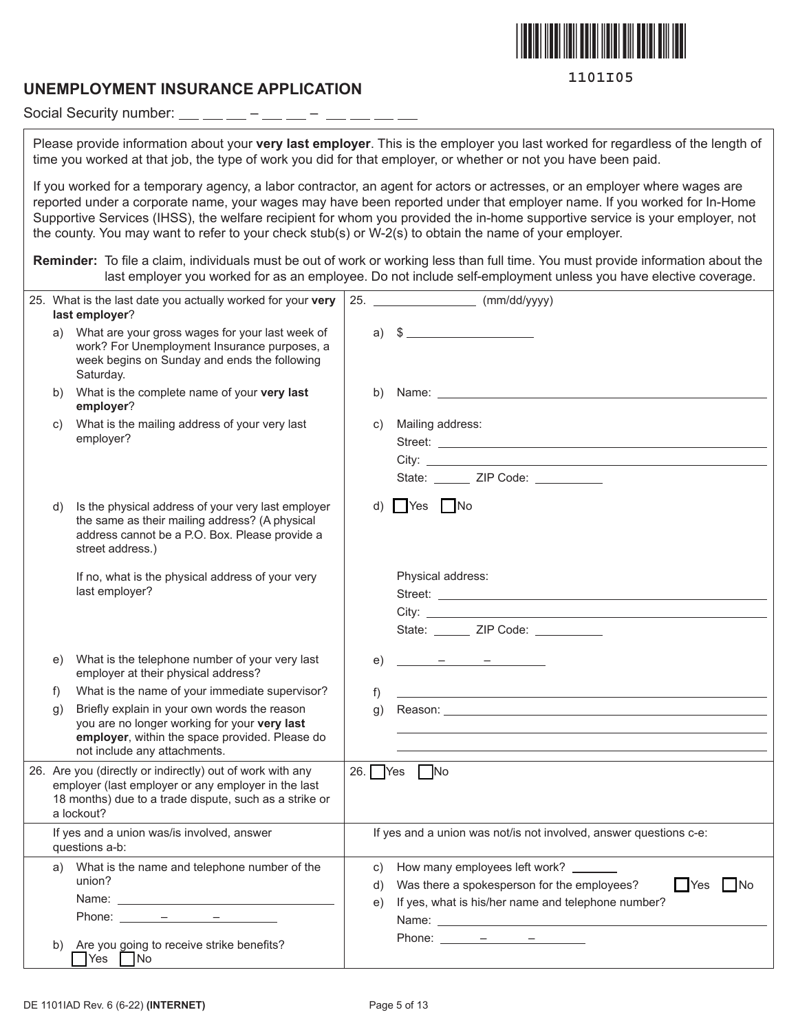

#### **UNEMPLOYMENT INSURANCE APPLICATION**

Social Security number:  $\_\_\_\_\_\_\_$  –  $\_\_\_$  –  $\frac{1}{2} \left( \frac{1}{2} \right) \left( \frac{1}{2} \right) \left( \frac{1}{2} \right) \left( \frac{1}{2} \right) \left( \frac{1}{2} \right) \left( \frac{1}{2} \right) \left( \frac{1}{2} \right) \left( \frac{1}{2} \right) \left( \frac{1}{2} \right) \left( \frac{1}{2} \right) \left( \frac{1}{2} \right) \left( \frac{1}{2} \right) \left( \frac{1}{2} \right) \left( \frac{1}{2} \right) \left( \frac{1}{2} \right) \left( \frac{1}{2} \right) \left( \frac$ 

Please provide information about your **very last employer**. This is the employer you last worked for regardless of the length of time you worked at that job, the type of work you did for that employer, or whether or not you have been paid.

If you worked for a temporary agency, a labor contractor, an agent for actors or actresses, or an employer where wages are reported under a corporate name, your wages may have been reported under that employer name. If you worked for In-Home Supportive Services (IHSS), the welfare recipient for whom you provided the in-home supportive service is your employer, not the county. You may want to refer to your check stub(s) or W-2(s) to obtain the name of your employer.

**Reminder:** To file a claim, individuals must be out of work or working less than full time. You must provide information about the last employer you worked for as an employee. Do not include self-employment unless you have elective coverage.

|                                                              | 25. What is the last date you actually worked for your very<br>last employer?                                                                                                                                                                                                                                                                                                                                                                                                                                                                                                                                                                                                                                                                                                                                  | 25. |          | $\frac{1}{2}$ (mm/dd/yyyy)                                                                                                                                                                                                                                                                                            |
|--------------------------------------------------------------|----------------------------------------------------------------------------------------------------------------------------------------------------------------------------------------------------------------------------------------------------------------------------------------------------------------------------------------------------------------------------------------------------------------------------------------------------------------------------------------------------------------------------------------------------------------------------------------------------------------------------------------------------------------------------------------------------------------------------------------------------------------------------------------------------------------|-----|----------|-----------------------------------------------------------------------------------------------------------------------------------------------------------------------------------------------------------------------------------------------------------------------------------------------------------------------|
| a)                                                           | What are your gross wages for your last week of<br>work? For Unemployment Insurance purposes, a<br>week begins on Sunday and ends the following<br>Saturday.                                                                                                                                                                                                                                                                                                                                                                                                                                                                                                                                                                                                                                                   |     |          | a) $\sqrt[3]{}$ 5                                                                                                                                                                                                                                                                                                     |
| b)                                                           | What is the complete name of your very last<br>employer?                                                                                                                                                                                                                                                                                                                                                                                                                                                                                                                                                                                                                                                                                                                                                       |     | b)       |                                                                                                                                                                                                                                                                                                                       |
| C)                                                           | What is the mailing address of your very last<br>employer?                                                                                                                                                                                                                                                                                                                                                                                                                                                                                                                                                                                                                                                                                                                                                     |     | C)       | Mailing address:<br>City:<br>State: ______ ZIP Code: _________                                                                                                                                                                                                                                                        |
| d)                                                           | Is the physical address of your very last employer<br>the same as their mailing address? (A physical<br>address cannot be a P.O. Box. Please provide a<br>street address.)                                                                                                                                                                                                                                                                                                                                                                                                                                                                                                                                                                                                                                     |     | d)       | $\Box$ Yes $\Box$ No                                                                                                                                                                                                                                                                                                  |
|                                                              | If no, what is the physical address of your very<br>last employer?                                                                                                                                                                                                                                                                                                                                                                                                                                                                                                                                                                                                                                                                                                                                             |     |          | Physical address:<br>State: ______ ZIP Code: _________                                                                                                                                                                                                                                                                |
| e)                                                           | What is the telephone number of your very last<br>employer at their physical address?                                                                                                                                                                                                                                                                                                                                                                                                                                                                                                                                                                                                                                                                                                                          |     | e)       |                                                                                                                                                                                                                                                                                                                       |
| $\mathsf{f}$                                                 | What is the name of your immediate supervisor?                                                                                                                                                                                                                                                                                                                                                                                                                                                                                                                                                                                                                                                                                                                                                                 |     | f)       | <u> 1989 - Johann Stein, mars an deutscher Stein und der Stein und der Stein und der Stein und der Stein und der</u>                                                                                                                                                                                                  |
| g)                                                           | Briefly explain in your own words the reason<br>you are no longer working for your very last<br>employer, within the space provided. Please do<br>not include any attachments.                                                                                                                                                                                                                                                                                                                                                                                                                                                                                                                                                                                                                                 |     | g)       | Reason: The contract of the contract of the contract of the contract of the contract of the contract of the contract of the contract of the contract of the contract of the contract of the contract of the contract of the co                                                                                        |
|                                                              | 26. Are you (directly or indirectly) out of work with any<br>employer (last employer or any employer in the last<br>18 months) due to a trade dispute, such as a strike or<br>a lockout?                                                                                                                                                                                                                                                                                                                                                                                                                                                                                                                                                                                                                       |     |          | 26. $Yes$ $No$                                                                                                                                                                                                                                                                                                        |
| If yes and a union was/is involved, answer<br>questions a-b: |                                                                                                                                                                                                                                                                                                                                                                                                                                                                                                                                                                                                                                                                                                                                                                                                                |     |          | If yes and a union was not/is not involved, answer questions c-e:                                                                                                                                                                                                                                                     |
|                                                              | a) What is the name and telephone number of the<br>union?<br>Name: Name: Name: Name: Name: Name: Name: Name: Name: Name: Name: Name: Name: Name: Name: Name: Name: Name: Name: Name: Name: Name: Name: Name: Name: Name: Name: Name: Name: Name: Name: Name: Name: Name: Name: Name: Name:<br>Phone: $\frac{\qquad \qquad - \qquad \qquad - \qquad \qquad - \qquad \qquad - \qquad \qquad - \qquad \qquad - \qquad \qquad - \qquad \qquad - \qquad \qquad - \qquad \qquad - \qquad \qquad - \qquad \qquad - \qquad \qquad - \qquad \qquad - \qquad \qquad - \qquad \qquad - \qquad \qquad - \qquad \qquad - \qquad \qquad - \qquad \qquad - \qquad \qquad - \qquad \qquad - \qquad \qquad - \qquad \qquad - \qquad \qquad - \qquad \qquad - \qquad \qquad - \qquad \qquad - \qquad \qquad - \qquad \qquad - \$ |     | d)<br>e) | c) How many employees left work? _______<br>Was there a spokesperson for the employees?<br>$\blacksquare$ No<br>  Yes<br>If yes, what is his/her name and telephone number?<br>Phone: $\frac{\qquad -\qquad -\qquad -\qquad \qquad -\qquad \qquad }{\qquad -\quad \qquad -\quad \qquad -\quad \qquad -\quad \qquad }$ |
| b)                                                           | Are you going to receive strike benefits?<br>$\bigcap$ Yes $\bigcap$ No                                                                                                                                                                                                                                                                                                                                                                                                                                                                                                                                                                                                                                                                                                                                        |     |          |                                                                                                                                                                                                                                                                                                                       |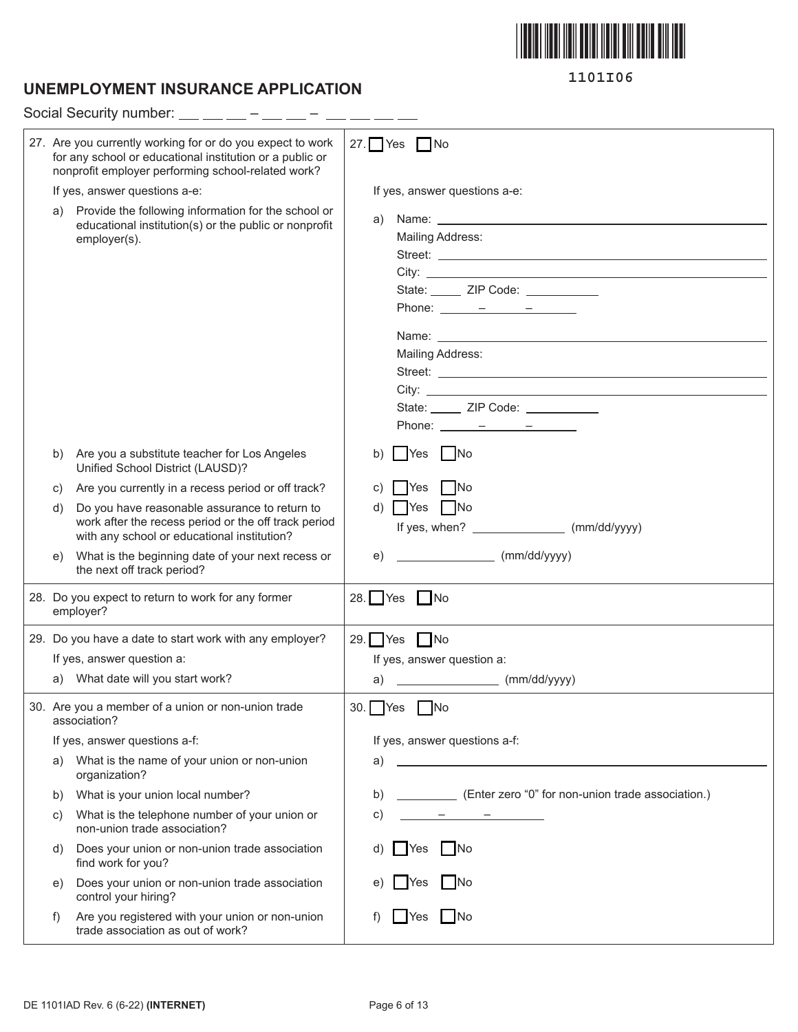

# **UNEMPLOYMENT INSURANCE APPLICATION**

|    | Social Security number:                                                                                                                                                      |                                                                                                                                                                                                                                                                                                                                                                                                                                                                                                                                                                                                                                                                                                                                                                                                                                                                                                                                    |  |  |  |  |
|----|------------------------------------------------------------------------------------------------------------------------------------------------------------------------------|------------------------------------------------------------------------------------------------------------------------------------------------------------------------------------------------------------------------------------------------------------------------------------------------------------------------------------------------------------------------------------------------------------------------------------------------------------------------------------------------------------------------------------------------------------------------------------------------------------------------------------------------------------------------------------------------------------------------------------------------------------------------------------------------------------------------------------------------------------------------------------------------------------------------------------|--|--|--|--|
|    | 27. Are you currently working for or do you expect to work<br>for any school or educational institution or a public or<br>nonprofit employer performing school-related work? | 27. $Yes$ $No$                                                                                                                                                                                                                                                                                                                                                                                                                                                                                                                                                                                                                                                                                                                                                                                                                                                                                                                     |  |  |  |  |
|    | If yes, answer questions a-e:                                                                                                                                                | If yes, answer questions a-e:                                                                                                                                                                                                                                                                                                                                                                                                                                                                                                                                                                                                                                                                                                                                                                                                                                                                                                      |  |  |  |  |
| a) | Provide the following information for the school or<br>educational institution(s) or the public or nonprofit<br>employer(s).                                                 | Name: <u>University</u> Name: 2004<br>a)<br><b>Mailing Address:</b><br>State: ZIP Code: 2000<br>Phone: $\frac{\ }{\ }$ $\frac{\ }{\ }$ $\frac{\ }{\ }$ $\frac{\ }{\ }$ $\frac{\ }{\ }$ $\frac{\ }{\ }$ $\frac{\ }{\ }$<br>Name: Name and the second contract of the second contract of the second contract of the second contract of the second contract of the second contract of the second contract of the second contract of the second contract of<br><b>Mailing Address:</b><br>State: ______ ZIP Code: __________<br>Phone: $\frac{\ }{\ }$ $\frac{\ }{\ }$ $\frac{\ }{\ }$ $\frac{\ }{\ }$ $\frac{\ }{\ }$ $\frac{\ }{\ }$ $\frac{\ }{\ }$ $\frac{\ }{\ }$ $\frac{\ }{\ }$ $\frac{\ }{\ }$ $\frac{\ }{\ }$ $\frac{\ }{\ }$ $\frac{\ }{\ }$ $\frac{\ }{\ }$ $\frac{\ }{\ }$ $\frac{\ }{\ }$ $\frac{\ }{\ }$ $\frac{\ }{\ }$ $\frac{\ }{\ }$ $\frac{\ }{\ }$ $\frac{\ }{\ }$ $\frac{\ }{\ }$ $\frac{\ }{\ }$ $\frac{\ }{\ }$ |  |  |  |  |
| b) | Are you a substitute teacher for Los Angeles<br>Unified School District (LAUSD)?                                                                                             | <b>Yes</b><br>  No<br>b)                                                                                                                                                                                                                                                                                                                                                                                                                                                                                                                                                                                                                                                                                                                                                                                                                                                                                                           |  |  |  |  |
| C) | Are you currently in a recess period or off track?                                                                                                                           | - No<br><b>PYes</b>                                                                                                                                                                                                                                                                                                                                                                                                                                                                                                                                                                                                                                                                                                                                                                                                                                                                                                                |  |  |  |  |
| d) | Do you have reasonable assurance to return to<br>work after the recess period or the off track period<br>with any school or educational institution?                         | $d)$   Yes   No                                                                                                                                                                                                                                                                                                                                                                                                                                                                                                                                                                                                                                                                                                                                                                                                                                                                                                                    |  |  |  |  |
| e) | What is the beginning date of your next recess or<br>the next off track period?                                                                                              | (mm/dd/yyyy)<br>e)                                                                                                                                                                                                                                                                                                                                                                                                                                                                                                                                                                                                                                                                                                                                                                                                                                                                                                                 |  |  |  |  |
|    | 28. Do you expect to return to work for any former<br>employer?                                                                                                              | 28. $Yes$ No                                                                                                                                                                                                                                                                                                                                                                                                                                                                                                                                                                                                                                                                                                                                                                                                                                                                                                                       |  |  |  |  |
|    | 29. Do you have a date to start work with any employer?                                                                                                                      | 29. $Yes$ No                                                                                                                                                                                                                                                                                                                                                                                                                                                                                                                                                                                                                                                                                                                                                                                                                                                                                                                       |  |  |  |  |
|    | If yes, answer question a:                                                                                                                                                   | If yes, answer question a:                                                                                                                                                                                                                                                                                                                                                                                                                                                                                                                                                                                                                                                                                                                                                                                                                                                                                                         |  |  |  |  |
|    | a) What date will you start work?                                                                                                                                            | (mm/dd/yyyy)<br>a)                                                                                                                                                                                                                                                                                                                                                                                                                                                                                                                                                                                                                                                                                                                                                                                                                                                                                                                 |  |  |  |  |
|    | 30. Are you a member of a union or non-union trade<br>association?                                                                                                           | 30.   Yes<br>l INo                                                                                                                                                                                                                                                                                                                                                                                                                                                                                                                                                                                                                                                                                                                                                                                                                                                                                                                 |  |  |  |  |
|    | If yes, answer questions a-f:                                                                                                                                                | If yes, answer questions a-f:                                                                                                                                                                                                                                                                                                                                                                                                                                                                                                                                                                                                                                                                                                                                                                                                                                                                                                      |  |  |  |  |
| a) | What is the name of your union or non-union<br>organization?                                                                                                                 | a)                                                                                                                                                                                                                                                                                                                                                                                                                                                                                                                                                                                                                                                                                                                                                                                                                                                                                                                                 |  |  |  |  |
| b) | What is your union local number?                                                                                                                                             | (Enter zero "0" for non-union trade association.)<br>b)                                                                                                                                                                                                                                                                                                                                                                                                                                                                                                                                                                                                                                                                                                                                                                                                                                                                            |  |  |  |  |
| C) | What is the telephone number of your union or<br>non-union trade association?                                                                                                | C)<br>the company of the company of                                                                                                                                                                                                                                                                                                                                                                                                                                                                                                                                                                                                                                                                                                                                                                                                                                                                                                |  |  |  |  |
| d) | Does your union or non-union trade association<br>find work for you?                                                                                                         | No<br>Yes                                                                                                                                                                                                                                                                                                                                                                                                                                                                                                                                                                                                                                                                                                                                                                                                                                                                                                                          |  |  |  |  |
| e) | Does your union or non-union trade association<br>control your hiring?                                                                                                       | -INo<br><b>IYes</b>                                                                                                                                                                                                                                                                                                                                                                                                                                                                                                                                                                                                                                                                                                                                                                                                                                                                                                                |  |  |  |  |
| f) | Are you registered with your union or non-union<br>trade association as out of work?                                                                                         | l INo<br>Yes                                                                                                                                                                                                                                                                                                                                                                                                                                                                                                                                                                                                                                                                                                                                                                                                                                                                                                                       |  |  |  |  |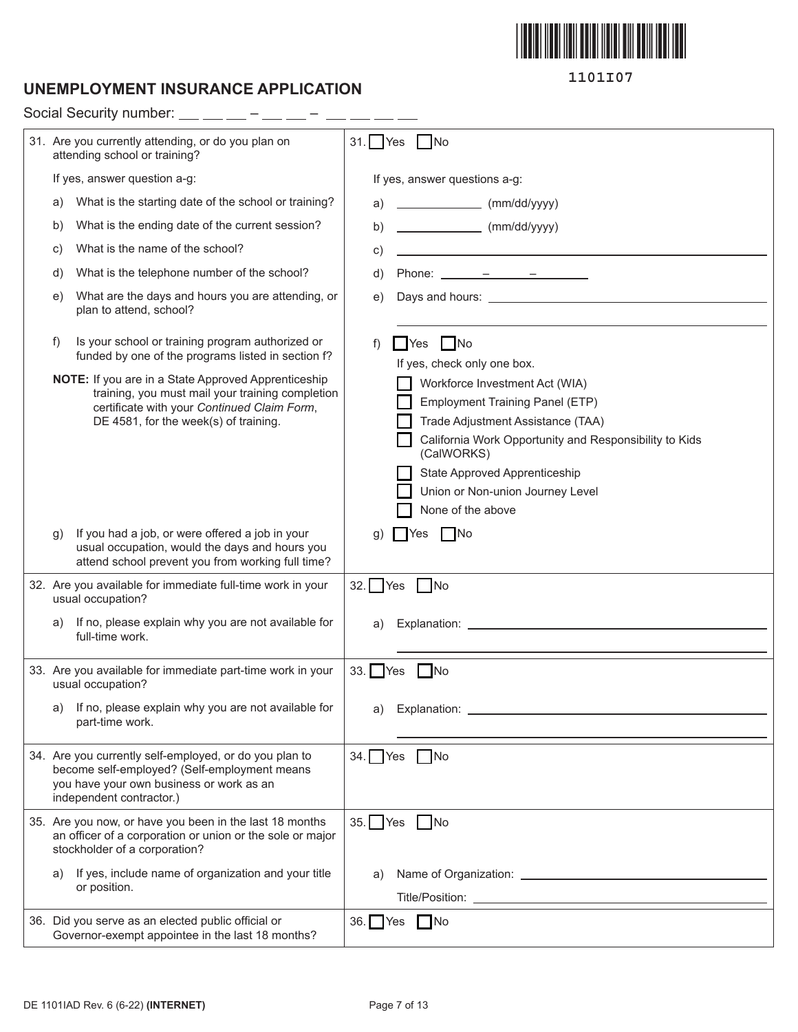

### **UNEMPLOYMENT INSURANCE APPLICATION**

**1101I07**

|    | Social Security number:                                                                                                                                                                         |           |                                                                                                                                                                                                                                                                                                                                                                                                        |
|----|-------------------------------------------------------------------------------------------------------------------------------------------------------------------------------------------------|-----------|--------------------------------------------------------------------------------------------------------------------------------------------------------------------------------------------------------------------------------------------------------------------------------------------------------------------------------------------------------------------------------------------------------|
|    | 31. Are you currently attending, or do you plan on<br>attending school or training?                                                                                                             | $31.$ Yes | $\big $ No                                                                                                                                                                                                                                                                                                                                                                                             |
|    | If yes, answer question a-g:                                                                                                                                                                    |           | If yes, answer questions a-g:                                                                                                                                                                                                                                                                                                                                                                          |
| a) | What is the starting date of the school or training?                                                                                                                                            | a)        | $\begin{array}{ccc}\n & \text{(mm/dd/yyyy)}\n\end{array}$                                                                                                                                                                                                                                                                                                                                              |
| b) | What is the ending date of the current session?                                                                                                                                                 | b)        | $\frac{1}{2}$ (mm/dd/yyyy)                                                                                                                                                                                                                                                                                                                                                                             |
| C) | What is the name of the school?                                                                                                                                                                 | C)        | <u> 1989 - Johann Barbara, martxa alemaniar a</u>                                                                                                                                                                                                                                                                                                                                                      |
| d) | What is the telephone number of the school?                                                                                                                                                     | d)        | Phone: $\frac{\ }{\ }$ $\frac{\ }{\ }$ $\frac{\ }{\ }$ $\frac{\ }{\ }$ $\frac{\ }{\ }$ $\frac{\ }{\ }$ $\frac{\ }{\ }$ $\frac{\ }{\ }$ $\frac{\ }{\ }$ $\frac{\ }{\ }$ $\frac{\ }{\ }$ $\frac{\ }{\ }$ $\frac{\ }{\ }$ $\frac{\ }{\ }$ $\frac{\ }{\ }$ $\frac{\ }{\ }$ $\frac{\ }{\ }$ $\frac{\ }{\ }$ $\frac{\ }{\ }$ $\frac{\ }{\ }$ $\frac{\ }{\ }$ $\frac{\ }{\ }$ $\frac{\ }{\ }$ $\frac{\ }{\ }$ |
| e) | What are the days and hours you are attending, or<br>plan to attend, school?                                                                                                                    | e)        |                                                                                                                                                                                                                                                                                                                                                                                                        |
| f) | Is your school or training program authorized or<br>funded by one of the programs listed in section f?                                                                                          | f)        | $\blacksquare$ Yes $\blacksquare$ No<br>If yes, check only one box.                                                                                                                                                                                                                                                                                                                                    |
|    | NOTE: If you are in a State Approved Apprenticeship<br>training, you must mail your training completion<br>certificate with your Continued Claim Form,<br>DE 4581, for the week(s) of training. |           | Workforce Investment Act (WIA)<br>Employment Training Panel (ETP)<br>Trade Adjustment Assistance (TAA)<br>California Work Opportunity and Responsibility to Kids<br>(CalWORKS)<br>State Approved Apprenticeship<br>Union or Non-union Journey Level<br>None of the above                                                                                                                               |
| g) | If you had a job, or were offered a job in your<br>usual occupation, would the days and hours you<br>attend school prevent you from working full time?                                          | g)        | $\n  No\n$<br>l Yes                                                                                                                                                                                                                                                                                                                                                                                    |
|    | 32. Are you available for immediate full-time work in your<br>usual occupation?                                                                                                                 | $32.$ Yes | $\overline{\phantom{a}}$ No                                                                                                                                                                                                                                                                                                                                                                            |
| a) | If no, please explain why you are not available for<br>full-time work.                                                                                                                          | a)        |                                                                                                                                                                                                                                                                                                                                                                                                        |
|    | 33. Are you available for immediate part-time work in your<br>usual occupation?                                                                                                                 | $33.$ Yes | <b>INo</b>                                                                                                                                                                                                                                                                                                                                                                                             |
| a) | If no, please explain why you are not available for<br>part-time work.                                                                                                                          | a)        |                                                                                                                                                                                                                                                                                                                                                                                                        |
|    | 34. Are you currently self-employed, or do you plan to<br>become self-employed? (Self-employment means<br>you have your own business or work as an<br>independent contractor.)                  |           | 34. Yes No                                                                                                                                                                                                                                                                                                                                                                                             |
|    | 35. Are you now, or have you been in the last 18 months<br>an officer of a corporation or union or the sole or major<br>stockholder of a corporation?                                           | $35.$ Yes | $\Box$ No                                                                                                                                                                                                                                                                                                                                                                                              |
| a) | If yes, include name of organization and your title<br>or position.                                                                                                                             | a)        |                                                                                                                                                                                                                                                                                                                                                                                                        |
|    | 36. Did you serve as an elected public official or<br>Governor-exempt appointee in the last 18 months?                                                                                          |           | 36. Yes No                                                                                                                                                                                                                                                                                                                                                                                             |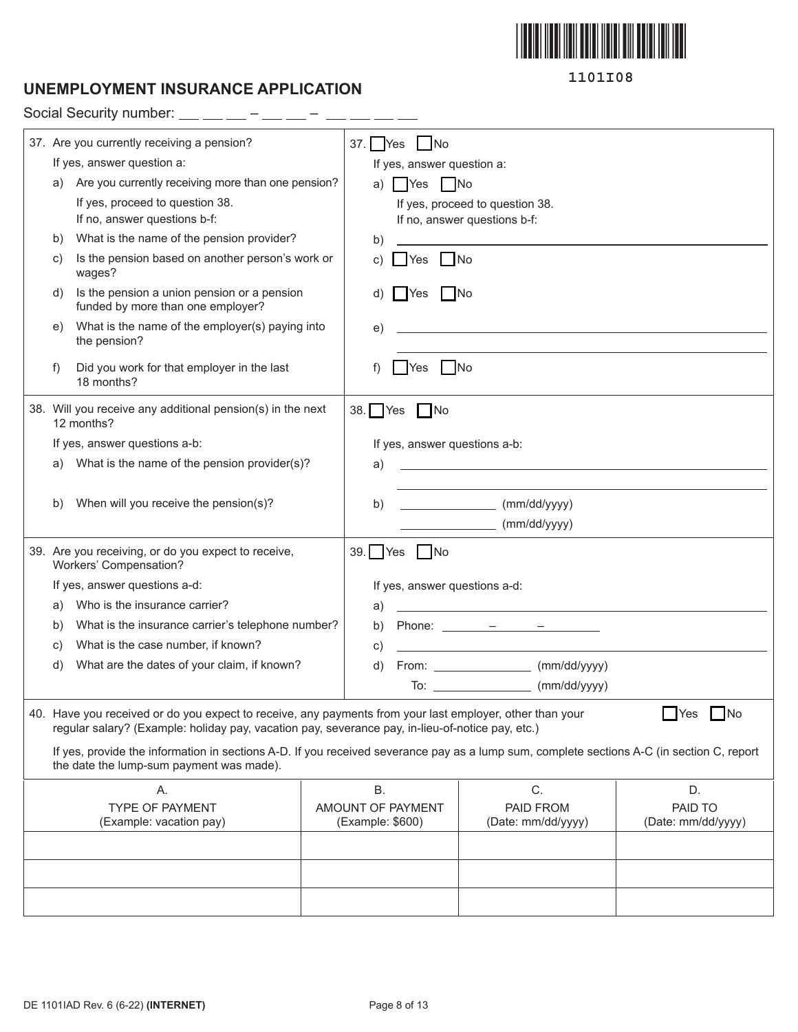

# **UNEMPLOYMENT INSURANCE APPLICATION**

Social Security number:  $-$  – – –

| 37. Are you currently receiving a pension? |                                                                                                  |                                                                                                          | 37. Yes<br>$\overline{\phantom{a}}$ No                                                                                                    |                               |                                                                                                                                                                                                                                                                                                                                                                                                        |                                            |                                                                            |
|--------------------------------------------|--------------------------------------------------------------------------------------------------|----------------------------------------------------------------------------------------------------------|-------------------------------------------------------------------------------------------------------------------------------------------|-------------------------------|--------------------------------------------------------------------------------------------------------------------------------------------------------------------------------------------------------------------------------------------------------------------------------------------------------------------------------------------------------------------------------------------------------|--------------------------------------------|----------------------------------------------------------------------------|
|                                            | If yes, answer question a:                                                                       |                                                                                                          |                                                                                                                                           | If yes, answer question a:    |                                                                                                                                                                                                                                                                                                                                                                                                        |                                            |                                                                            |
| a)                                         | Are you currently receiving more than one pension?                                               |                                                                                                          | a)                                                                                                                                        | $\bigcap$ Yes $\bigcap$ No    |                                                                                                                                                                                                                                                                                                                                                                                                        |                                            |                                                                            |
|                                            | If yes, proceed to question 38.                                                                  |                                                                                                          |                                                                                                                                           |                               | If yes, proceed to question 38.                                                                                                                                                                                                                                                                                                                                                                        |                                            |                                                                            |
|                                            | If no, answer questions b-f:                                                                     |                                                                                                          |                                                                                                                                           |                               | If no, answer questions b-f:                                                                                                                                                                                                                                                                                                                                                                           |                                            |                                                                            |
| b)                                         | What is the name of the pension provider?                                                        |                                                                                                          | b)                                                                                                                                        |                               |                                                                                                                                                                                                                                                                                                                                                                                                        |                                            |                                                                            |
| C)                                         | Is the pension based on another person's work or<br>wages?                                       |                                                                                                          | C)                                                                                                                                        | $\Box$ No<br>Yes              |                                                                                                                                                                                                                                                                                                                                                                                                        |                                            |                                                                            |
| d)                                         | Is the pension a union pension or a pension<br>funded by more than one employer?                 |                                                                                                          | d)                                                                                                                                        | No<br><b>P</b> Yes            |                                                                                                                                                                                                                                                                                                                                                                                                        |                                            |                                                                            |
| e)                                         | What is the name of the employer(s) paying into<br>the pension?                                  |                                                                                                          | e)                                                                                                                                        |                               |                                                                                                                                                                                                                                                                                                                                                                                                        |                                            | the control of the control of the control of the control of the control of |
| f)                                         | Did you work for that employer in the last<br>18 months?                                         |                                                                                                          | f)                                                                                                                                        | Yes<br>- INo                  |                                                                                                                                                                                                                                                                                                                                                                                                        |                                            |                                                                            |
|                                            | 38. Will you receive any additional pension(s) in the next<br>12 months?                         |                                                                                                          |                                                                                                                                           | 38. $\Box$ Yes $\Box$ No      |                                                                                                                                                                                                                                                                                                                                                                                                        |                                            |                                                                            |
|                                            | If yes, answer questions a-b:                                                                    |                                                                                                          |                                                                                                                                           | If yes, answer questions a-b: |                                                                                                                                                                                                                                                                                                                                                                                                        |                                            |                                                                            |
| a)                                         | What is the name of the pension provider(s)?                                                     |                                                                                                          | a)                                                                                                                                        |                               |                                                                                                                                                                                                                                                                                                                                                                                                        |                                            |                                                                            |
|                                            |                                                                                                  |                                                                                                          |                                                                                                                                           |                               |                                                                                                                                                                                                                                                                                                                                                                                                        |                                            |                                                                            |
| b)                                         | When will you receive the pension(s)?                                                            |                                                                                                          | b)                                                                                                                                        |                               | $\frac{1}{2}$ (mm/dd/yyyy)                                                                                                                                                                                                                                                                                                                                                                             |                                            |                                                                            |
|                                            |                                                                                                  |                                                                                                          |                                                                                                                                           |                               |                                                                                                                                                                                                                                                                                                                                                                                                        | (mm/dd/yyyy)                               |                                                                            |
|                                            | 39. Are you receiving, or do you expect to receive,                                              |                                                                                                          | $39.$ Yes                                                                                                                                 | $\Box$ No                     |                                                                                                                                                                                                                                                                                                                                                                                                        |                                            |                                                                            |
|                                            | Workers' Compensation?                                                                           |                                                                                                          |                                                                                                                                           |                               |                                                                                                                                                                                                                                                                                                                                                                                                        |                                            |                                                                            |
| If yes, answer questions a-d:              |                                                                                                  |                                                                                                          | If yes, answer questions a-d:                                                                                                             |                               |                                                                                                                                                                                                                                                                                                                                                                                                        |                                            |                                                                            |
| a)                                         | Who is the insurance carrier?                                                                    |                                                                                                          | a)                                                                                                                                        |                               |                                                                                                                                                                                                                                                                                                                                                                                                        |                                            |                                                                            |
| b)                                         | What is the insurance carrier's telephone number?                                                |                                                                                                          | b)                                                                                                                                        |                               | Phone: $\frac{\ }{\ }$ $\frac{\ }{\ }$ $\frac{\ }{\ }$ $\frac{\ }{\ }$ $\frac{\ }{\ }$ $\frac{\ }{\ }$ $\frac{\ }{\ }$ $\frac{\ }{\ }$ $\frac{\ }{\ }$ $\frac{\ }{\ }$ $\frac{\ }{\ }$ $\frac{\ }{\ }$ $\frac{\ }{\ }$ $\frac{\ }{\ }$ $\frac{\ }{\ }$ $\frac{\ }{\ }$ $\frac{\ }{\ }$ $\frac{\ }{\ }$ $\frac{\ }{\ }$ $\frac{\ }{\ }$ $\frac{\ }{\ }$ $\frac{\ }{\ }$ $\frac{\ }{\ }$ $\frac{\ }{\ }$ |                                            |                                                                            |
| C)                                         | What is the case number, if known?                                                               |                                                                                                          | C)                                                                                                                                        |                               |                                                                                                                                                                                                                                                                                                                                                                                                        |                                            |                                                                            |
| d)                                         | What are the dates of your claim, if known?                                                      |                                                                                                          | d)                                                                                                                                        |                               |                                                                                                                                                                                                                                                                                                                                                                                                        | From: ____________________ (mm/dd/yyyy)    |                                                                            |
|                                            |                                                                                                  |                                                                                                          |                                                                                                                                           |                               |                                                                                                                                                                                                                                                                                                                                                                                                        | To: _________________________ (mm/dd/yyyy) |                                                                            |
|                                            | regular salary? (Example: holiday pay, vacation pay, severance pay, in-lieu-of-notice pay, etc.) | 40. Have you received or do you expect to receive, any payments from your last employer, other than your |                                                                                                                                           |                               | $\Box$ Yes $\Box$ No                                                                                                                                                                                                                                                                                                                                                                                   |                                            |                                                                            |
|                                            | the date the lump-sum payment was made).                                                         |                                                                                                          | If yes, provide the information in sections A-D. If you received severance pay as a lump sum, complete sections A-C (in section C, report |                               |                                                                                                                                                                                                                                                                                                                                                                                                        |                                            |                                                                            |
|                                            | Α.                                                                                               |                                                                                                          | <b>B.</b>                                                                                                                                 |                               |                                                                                                                                                                                                                                                                                                                                                                                                        | C.                                         | D.                                                                         |
|                                            | <b>TYPE OF PAYMENT</b>                                                                           |                                                                                                          |                                                                                                                                           | AMOUNT OF PAYMENT             |                                                                                                                                                                                                                                                                                                                                                                                                        | PAID FROM                                  | PAID TO                                                                    |
|                                            | (Example: vacation pay)                                                                          |                                                                                                          | (Example: \$600)                                                                                                                          |                               |                                                                                                                                                                                                                                                                                                                                                                                                        | (Date: mm/dd/yyyy)                         | (Date: mm/dd/yyyy)                                                         |
|                                            |                                                                                                  |                                                                                                          |                                                                                                                                           |                               |                                                                                                                                                                                                                                                                                                                                                                                                        |                                            |                                                                            |
|                                            |                                                                                                  |                                                                                                          |                                                                                                                                           |                               |                                                                                                                                                                                                                                                                                                                                                                                                        |                                            |                                                                            |
|                                            |                                                                                                  |                                                                                                          |                                                                                                                                           |                               |                                                                                                                                                                                                                                                                                                                                                                                                        |                                            |                                                                            |
|                                            |                                                                                                  |                                                                                                          |                                                                                                                                           |                               |                                                                                                                                                                                                                                                                                                                                                                                                        |                                            |                                                                            |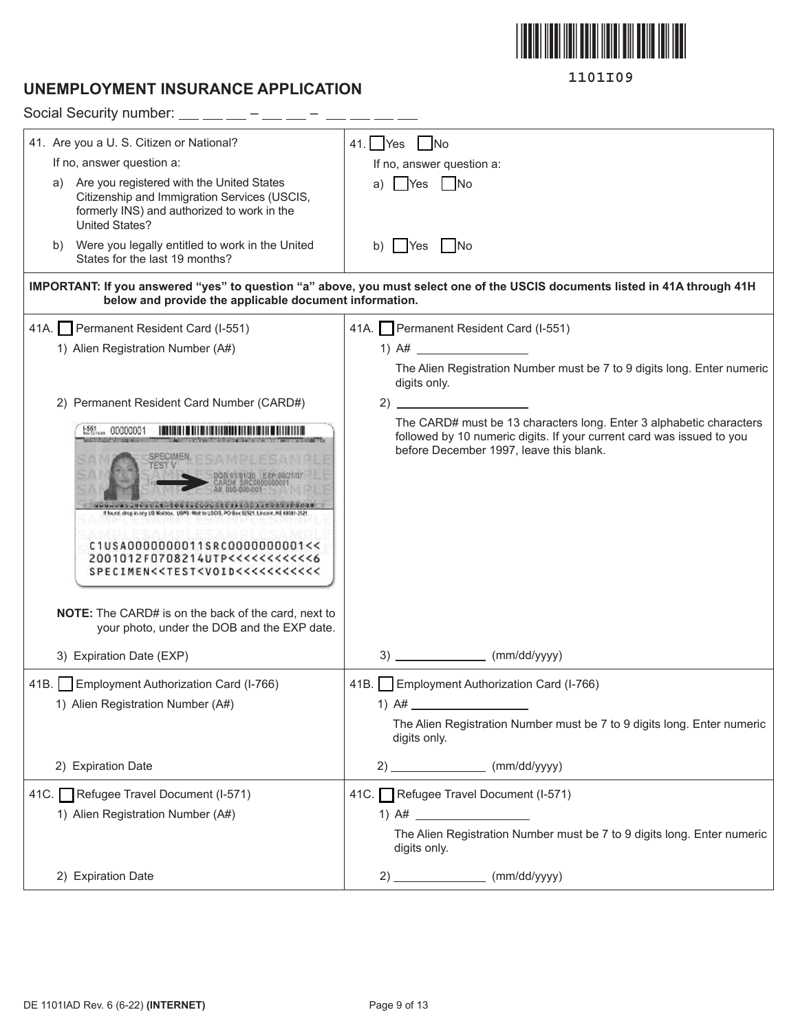

# **UNEMPLOYMENT INSURANCE APPLICATION**

| Social Security number: $\_\_$ $\_\_$ $\_\_$ - $\_\_$ -                                                                                                                |                                                                                                                                                                                         |
|------------------------------------------------------------------------------------------------------------------------------------------------------------------------|-----------------------------------------------------------------------------------------------------------------------------------------------------------------------------------------|
| 41. Are you a U. S. Citizen or National?                                                                                                                               | 41. $Yes$ No                                                                                                                                                                            |
| If no, answer question a:                                                                                                                                              | If no, answer question a:                                                                                                                                                               |
| a) Are you registered with the United States<br>Citizenship and Immigration Services (USCIS,<br>formerly INS) and authorized to work in the<br><b>United States?</b>   | <b>T</b> Yes<br>No.<br>a)                                                                                                                                                               |
| b) Were you legally entitled to work in the United<br>States for the last 19 months?                                                                                   | <b>Yes</b><br>$\overline{\phantom{a}}$ No<br>b)                                                                                                                                         |
| below and provide the applicable document information.                                                                                                                 | IMPORTANT: If you answered "yes" to question "a" above, you must select one of the USCIS documents listed in 41A through 41H                                                            |
| 41A. Permanent Resident Card (I-551)                                                                                                                                   | 41A. Permanent Resident Card (I-551)                                                                                                                                                    |
| 1) Alien Registration Number (A#)                                                                                                                                      | 1) $A#$                                                                                                                                                                                 |
|                                                                                                                                                                        | The Alien Registration Number must be 7 to 9 digits long. Enter numeric<br>digits only.                                                                                                 |
| 2) Permanent Resident Card Number (CARD#)                                                                                                                              |                                                                                                                                                                                         |
| $1.551$ 00000001<br>f found, drep in any US Mailtion. USPS: Mail to USCIS, PO Bux S2521. Lincoln, NE<br>C1USA0000000011SRC0000000001<<<br>2001012F0708214UTP<<<<<<<<<< | The CARD# must be 13 characters long. Enter 3 alphabetic characters<br>followed by 10 numeric digits. If your current card was issued to you<br>before December 1997, leave this blank. |
| <b>NOTE:</b> The CARD# is on the back of the card, next to<br>your photo, under the DOB and the EXP date.                                                              |                                                                                                                                                                                         |
| 3) Expiration Date (EXP)                                                                                                                                               | 3)<br>(mm/dd/yyyy)                                                                                                                                                                      |
| 41B. Employment Authorization Card (I-766)<br>1) Alien Registration Number (A#)                                                                                        | 41B. Employment Authorization Card (I-766)<br>1) $A#$<br>The Alien Registration Number must be 7 to 9 digits long. Enter numeric<br>digits only.                                        |
| 2) Expiration Date                                                                                                                                                     | $2)$ (mm/dd/yyyy)                                                                                                                                                                       |
| 41C. Refugee Travel Document (I-571)<br>1) Alien Registration Number (A#)                                                                                              | 41C. Refugee Travel Document (I-571)<br>The Alien Registration Number must be 7 to 9 digits long. Enter numeric<br>digits only.                                                         |
| 2) Expiration Date                                                                                                                                                     | $2)$ (mm/dd/yyyy)                                                                                                                                                                       |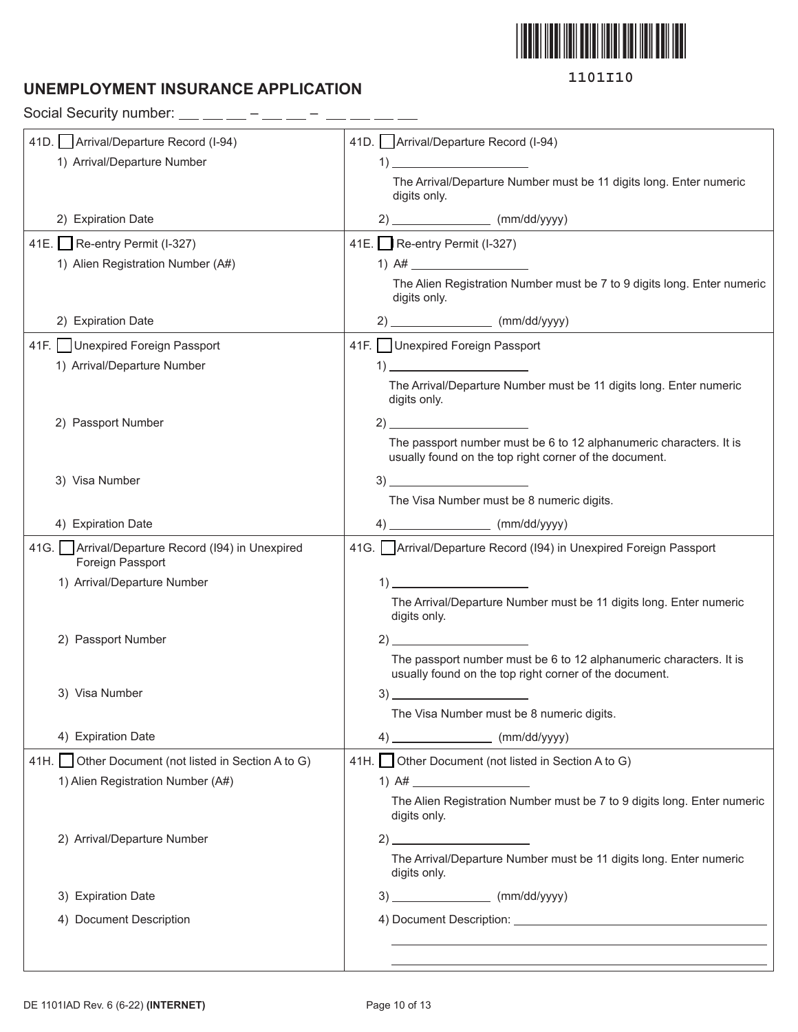

# **UNEMPLOYMENT INSURANCE APPLICATION**

Social Security number:  $\_\_$   $\_\_$  –  $\_\_$  –  $\_$  –  $\_$  –  $\_$ 

| 41D. Arrival/Departure Record (I-94)                                   | 41D. Arrival/Departure Record (I-94)                                                                                                                                                                                                                                                                                                                                                                          |
|------------------------------------------------------------------------|---------------------------------------------------------------------------------------------------------------------------------------------------------------------------------------------------------------------------------------------------------------------------------------------------------------------------------------------------------------------------------------------------------------|
| 1) Arrival/Departure Number                                            | $\left( \begin{array}{c} 1 \end{array} \right)$                                                                                                                                                                                                                                                                                                                                                               |
|                                                                        | The Arrival/Departure Number must be 11 digits long. Enter numeric<br>digits only.                                                                                                                                                                                                                                                                                                                            |
| 2) Expiration Date                                                     | $2)$ (mm/dd/yyyy)                                                                                                                                                                                                                                                                                                                                                                                             |
| 41E. Re-entry Permit (I-327)                                           | 41E. Re-entry Permit (I-327)                                                                                                                                                                                                                                                                                                                                                                                  |
| 1) Alien Registration Number (A#)                                      |                                                                                                                                                                                                                                                                                                                                                                                                               |
|                                                                        | The Alien Registration Number must be 7 to 9 digits long. Enter numeric<br>digits only.                                                                                                                                                                                                                                                                                                                       |
| 2) Expiration Date                                                     | $2)$ (mm/dd/yyyy)                                                                                                                                                                                                                                                                                                                                                                                             |
| 41F. Unexpired Foreign Passport                                        | 41F.   Unexpired Foreign Passport                                                                                                                                                                                                                                                                                                                                                                             |
| 1) Arrival/Departure Number                                            | $\overline{1}$ $\overline{1}$ $\overline{1}$ $\overline{1}$ $\overline{1}$ $\overline{1}$ $\overline{1}$ $\overline{1}$ $\overline{1}$ $\overline{1}$ $\overline{1}$ $\overline{1}$ $\overline{1}$ $\overline{1}$ $\overline{1}$ $\overline{1}$ $\overline{1}$ $\overline{1}$ $\overline{1}$ $\overline{1}$ $\overline{1}$ $\overline{1}$ $\overline{1}$ $\overline{1}$ $\overline{$                          |
|                                                                        | The Arrival/Departure Number must be 11 digits long. Enter numeric<br>digits only.                                                                                                                                                                                                                                                                                                                            |
| 2) Passport Number                                                     | $2)$ $\overline{\phantom{a}}$                                                                                                                                                                                                                                                                                                                                                                                 |
|                                                                        | The passport number must be 6 to 12 alphanumeric characters. It is<br>usually found on the top right corner of the document.                                                                                                                                                                                                                                                                                  |
| 3) Visa Number                                                         | $3)$ and $\overline{\phantom{a}}$ and $\overline{\phantom{a}}$ and $\overline{\phantom{a}}$ and $\overline{\phantom{a}}$ and $\overline{\phantom{a}}$ and $\overline{\phantom{a}}$ and $\overline{\phantom{a}}$ and $\overline{\phantom{a}}$ and $\overline{\phantom{a}}$ and $\overline{\phantom{a}}$ and $\overline{\phantom{a}}$ and $\overline{\phantom{a}}$ and $\overline{\phantom{a}}$ and $\overline$ |
|                                                                        | The Visa Number must be 8 numeric digits.                                                                                                                                                                                                                                                                                                                                                                     |
| 4) Expiration Date                                                     | $4)$ (mm/dd/yyyy)                                                                                                                                                                                                                                                                                                                                                                                             |
| 41G.   Arrival/Departure Record (194) in Unexpired<br>Foreign Passport | 41G. Arrival/Departure Record (194) in Unexpired Foreign Passport                                                                                                                                                                                                                                                                                                                                             |
| 1) Arrival/Departure Number                                            | $\begin{array}{c} \n 1) \end{array}$                                                                                                                                                                                                                                                                                                                                                                          |
|                                                                        | The Arrival/Departure Number must be 11 digits long. Enter numeric<br>digits only.                                                                                                                                                                                                                                                                                                                            |
| 2) Passport Number                                                     | 2)                                                                                                                                                                                                                                                                                                                                                                                                            |
|                                                                        | The passport number must be 6 to 12 alphanumeric characters. It is<br>usually found on the top right corner of the document.                                                                                                                                                                                                                                                                                  |
| 3) Visa Number                                                         | 3)                                                                                                                                                                                                                                                                                                                                                                                                            |
|                                                                        | The Visa Number must be 8 numeric digits.                                                                                                                                                                                                                                                                                                                                                                     |
| 4) Expiration Date                                                     | $4)$ (mm/dd/yyyy)                                                                                                                                                                                                                                                                                                                                                                                             |
| 41H. Other Document (not listed in Section A to G)                     | 41H. Other Document (not listed in Section A to G)                                                                                                                                                                                                                                                                                                                                                            |
| 1) Alien Registration Number (A#)                                      | 1) $A#$                                                                                                                                                                                                                                                                                                                                                                                                       |
|                                                                        | The Alien Registration Number must be 7 to 9 digits long. Enter numeric<br>digits only.                                                                                                                                                                                                                                                                                                                       |
| 2) Arrival/Departure Number                                            | $\sim$ 2)                                                                                                                                                                                                                                                                                                                                                                                                     |
|                                                                        | The Arrival/Departure Number must be 11 digits long. Enter numeric<br>digits only.                                                                                                                                                                                                                                                                                                                            |
| 3) Expiration Date                                                     | $3)$ (mm/dd/yyyy)                                                                                                                                                                                                                                                                                                                                                                                             |
| 4) Document Description                                                |                                                                                                                                                                                                                                                                                                                                                                                                               |
|                                                                        |                                                                                                                                                                                                                                                                                                                                                                                                               |
|                                                                        |                                                                                                                                                                                                                                                                                                                                                                                                               |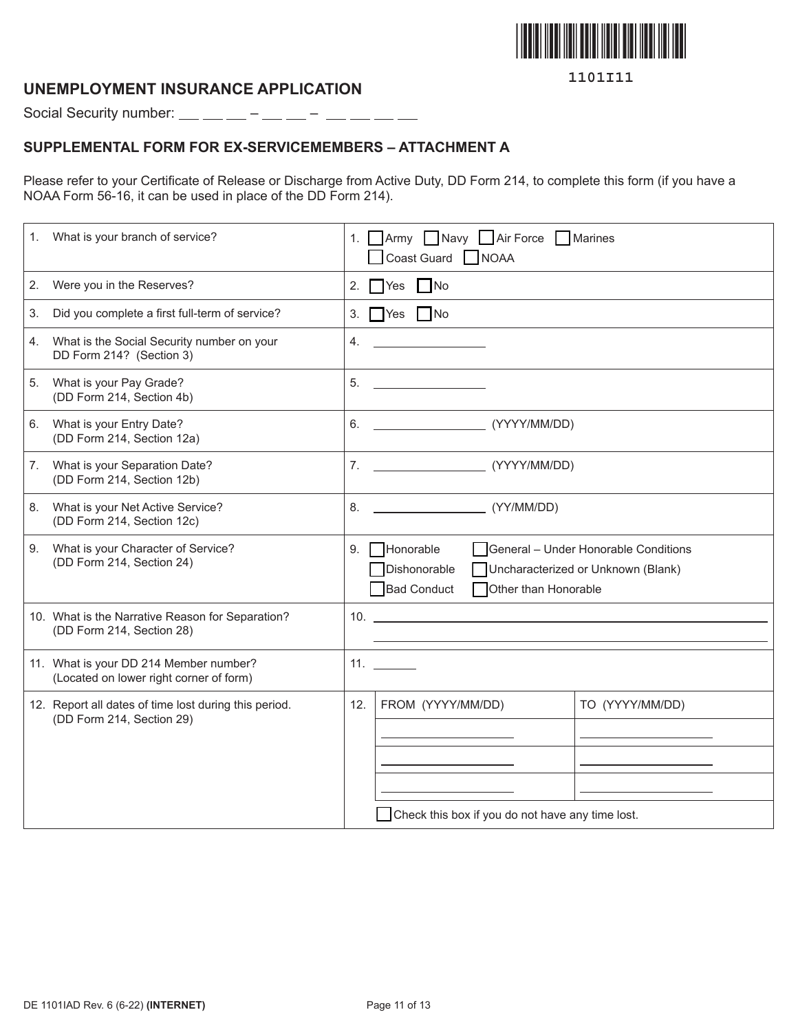

### **UNEMPLOYMENT INSURANCE APPLICATION**

Social Security number: – –

### **SUPPLEMENTAL FORM FOR EX-SERVICEMEMBERS – ATTACHMENT A**

Please refer to your Certificate of Release or Discharge from Active Duty, DD Form 214, to complete this form (if you have a NOAA Form 56-16, it can be used in place of the DD Form 214).

| What is your branch of service?<br>1.                                              | 1. Army Navy Air Force Marines<br>Coast Guard NOAA                                                                                                                                                                                                       |
|------------------------------------------------------------------------------------|----------------------------------------------------------------------------------------------------------------------------------------------------------------------------------------------------------------------------------------------------------|
| Were you in the Reserves?<br>2.                                                    | 2. $Yes$ No                                                                                                                                                                                                                                              |
| Did you complete a first full-term of service?<br>3.                               | 3. $Yes$ No                                                                                                                                                                                                                                              |
| What is the Social Security number on your<br>4.<br>DD Form 214? (Section 3)       | 4.                                                                                                                                                                                                                                                       |
| What is your Pay Grade?<br>5.<br>(DD Form 214, Section 4b)                         | 5.<br>the control of the control of the control of                                                                                                                                                                                                       |
| What is your Entry Date?<br>6.<br>(DD Form 214, Section 12a)                       | (YYYY/MM/DD)<br>6.                                                                                                                                                                                                                                       |
| What is your Separation Date?<br>7.<br>(DD Form 214, Section 12b)                  |                                                                                                                                                                                                                                                          |
| What is your Net Active Service?<br>8.<br>(DD Form 214, Section 12c)               | (YY/MM/DD)<br><u> Listen van die Stadt van die Stadt van die Stadt van die Stadt van die Stadt van die Stadt van die Stadt van die Stadt van die Stadt van die Stadt van die Stadt van die Stadt van die Stadt van die Stadt van die Stadt van</u><br>8. |
| What is your Character of Service?<br>9.<br>(DD Form 214, Section 24)              | $\Box$ Honorable<br>General - Under Honorable Conditions<br>9.<br>Dishonorable<br>Uncharacterized or Unknown (Blank)<br><b>Bad Conduct</b><br>Other than Honorable                                                                                       |
| 10. What is the Narrative Reason for Separation?<br>(DD Form 214, Section 28)      | $10.$ $\blacksquare$                                                                                                                                                                                                                                     |
| 11. What is your DD 214 Member number?<br>(Located on lower right corner of form)  | 11.                                                                                                                                                                                                                                                      |
| 12. Report all dates of time lost during this period.<br>(DD Form 214, Section 29) | FROM (YYYY/MM/DD)<br>TO (YYYY/MM/DD)<br>12.                                                                                                                                                                                                              |
|                                                                                    |                                                                                                                                                                                                                                                          |
|                                                                                    |                                                                                                                                                                                                                                                          |
|                                                                                    |                                                                                                                                                                                                                                                          |
|                                                                                    | Check this box if you do not have any time lost.                                                                                                                                                                                                         |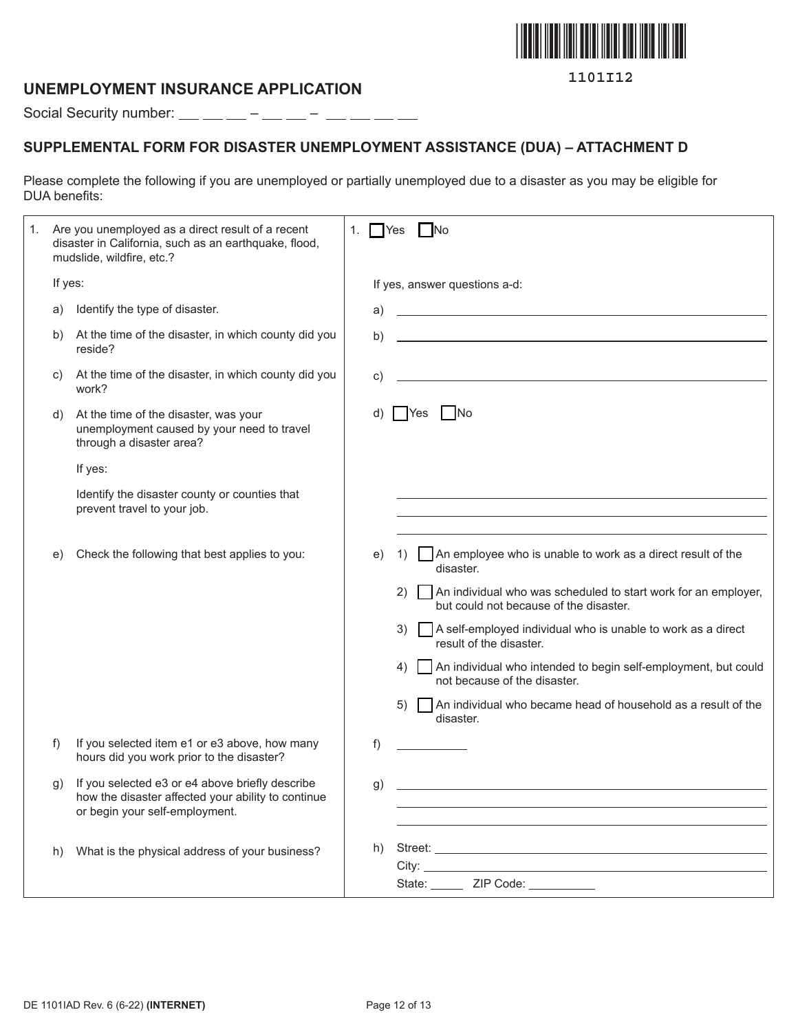

### **UNEMPLOYMENT INSURANCE APPLICATION**

Social Security number:  $\_\_$   $\_\_$  –  $\_\_$  –  $\_\_$  –  $\_\_$  –  $\_\_$ 

# **SUPPLEMENTAL FORM FOR DISASTER UNEMPLOYMENT ASSISTANCE (DUA) – ATTACHMENT D**

Please complete the following if you are unemployed or partially unemployed due to a disaster as you may be eligible for DUA benefits:

| 1. |         | Are you unemployed as a direct result of a recent<br>disaster in California, such as an earthquake, flood,<br>mudslide, wildfire, etc.? | 1. | N <sub>o</sub><br>  Yes                                                                                                                                                                                                                                               |
|----|---------|-----------------------------------------------------------------------------------------------------------------------------------------|----|-----------------------------------------------------------------------------------------------------------------------------------------------------------------------------------------------------------------------------------------------------------------------|
|    | If yes: |                                                                                                                                         |    | If yes, answer questions a-d:                                                                                                                                                                                                                                         |
|    | a)      | Identify the type of disaster.                                                                                                          | a) | <u> 1989 - Johann Barn, amerikansk politiker (d. 1989)</u>                                                                                                                                                                                                            |
|    | b)      | At the time of the disaster, in which county did you<br>reside?                                                                         | b) |                                                                                                                                                                                                                                                                       |
|    | C)      | At the time of the disaster, in which county did you<br>work?                                                                           | C) | <u> 1989 - Johann Stein, mars an de Britannich (b. 1989)</u>                                                                                                                                                                                                          |
|    | d)      | At the time of the disaster, was your<br>unemployment caused by your need to travel<br>through a disaster area?                         |    | <b>No</b><br><b>P</b> Yes                                                                                                                                                                                                                                             |
|    |         | If yes:                                                                                                                                 |    |                                                                                                                                                                                                                                                                       |
|    |         | Identify the disaster county or counties that<br>prevent travel to your job.                                                            |    | <u> 1980 - Johann Stoff, amerikansk politiker (* 1908)</u>                                                                                                                                                                                                            |
|    | e)      | Check the following that best applies to you:                                                                                           | e) | $\Box$ An employee who is unable to work as a direct result of the<br>1)<br>disaster.                                                                                                                                                                                 |
|    |         |                                                                                                                                         |    | An individual who was scheduled to start work for an employer,<br>(2)<br>but could not because of the disaster.                                                                                                                                                       |
|    |         |                                                                                                                                         |    | A self-employed individual who is unable to work as a direct<br>3)<br>result of the disaster.                                                                                                                                                                         |
|    |         |                                                                                                                                         |    | An individual who intended to begin self-employment, but could<br>4)<br>not because of the disaster.                                                                                                                                                                  |
|    |         |                                                                                                                                         |    | An individual who became head of household as a result of the<br>5)<br>disaster.                                                                                                                                                                                      |
|    | f)      | If you selected item e1 or e3 above, how many<br>hours did you work prior to the disaster?                                              | f) |                                                                                                                                                                                                                                                                       |
|    | g)      | If you selected e3 or e4 above briefly describe<br>how the disaster affected your ability to continue<br>or begin your self-employment. | g) |                                                                                                                                                                                                                                                                       |
|    | h)      | What is the physical address of your business?                                                                                          | h) | City: the contract of the contract of the contract of the contract of the contract of the contract of the contract of the contract of the contract of the contract of the contract of the contract of the contract of the cont<br>State: _______ ZIP Code: __________ |